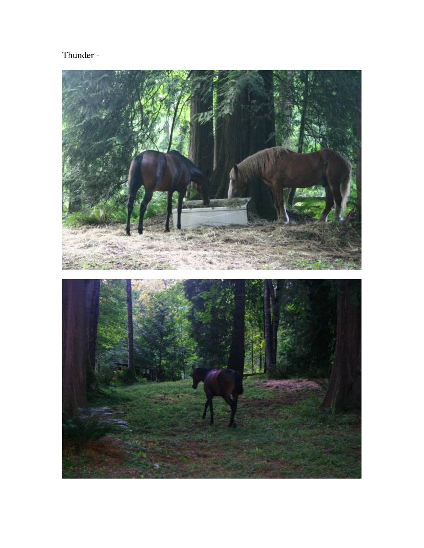## Thunder -

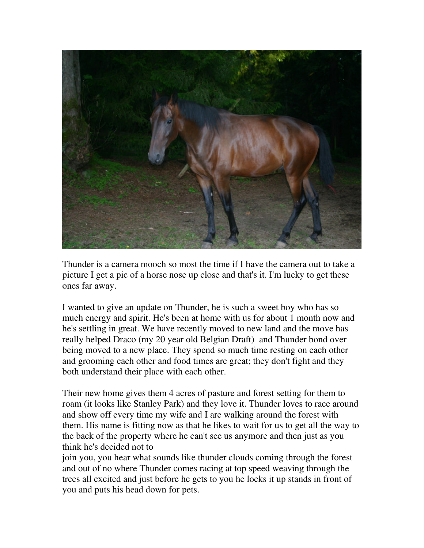

Thunder is a camera mooch so most the time if I have the camera out to take a picture I get a pic of a horse nose up close and that's it. I'm lucky to get these ones far away.

I wanted to give an update on Thunder, he is such a sweet boy who has so much energy and spirit. He's been at home with us for about 1 month now and he's settling in great. We have recently moved to new land and the move has really helped Draco (my 20 year old Belgian Draft) and Thunder bond over being moved to a new place. They spend so much time resting on each other and grooming each other and food times are great; they don't fight and they both understand their place with each other.

Their new home gives them 4 acres of pasture and forest setting for them to roam (it looks like Stanley Park) and they love it. Thunder loves to race around and show off every time my wife and I are walking around the forest with them. His name is fitting now as that he likes to wait for us to get all the way to the back of the property where he can't see us anymore and then just as you think he's decided not to

join you, you hear what sounds like thunder clouds coming through the forest and out of no where Thunder comes racing at top speed weaving through the trees all excited and just before he gets to you he locks it up stands in front of you and puts his head down for pets.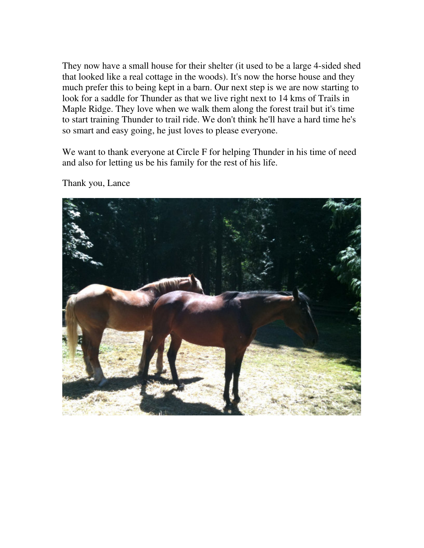They now have a small house for their shelter (it used to be a large 4-sided shed that looked like a real cottage in the woods). It's now the horse house and they much prefer this to being kept in a barn. Our next step is we are now starting to look for a saddle for Thunder as that we live right next to 14 kms of Trails in Maple Ridge. They love when we walk them along the forest trail but it's time to start training Thunder to trail ride. We don't think he'll have a hard time he's so smart and easy going, he just loves to please everyone.

We want to thank everyone at Circle F for helping Thunder in his time of need and also for letting us be his family for the rest of his life.



Thank you, Lance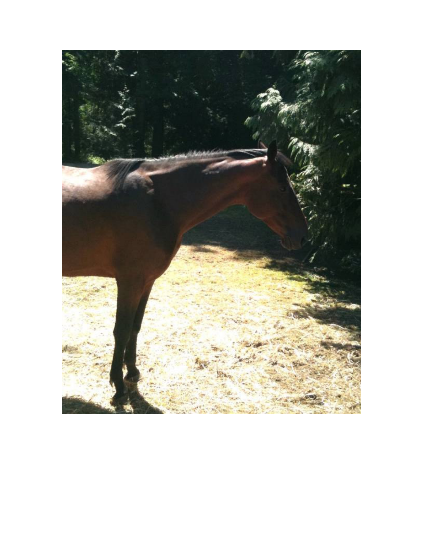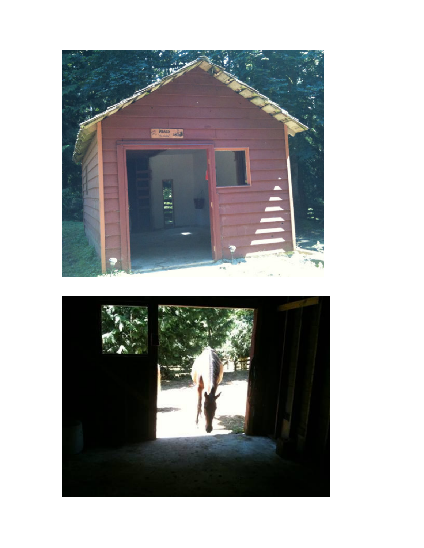